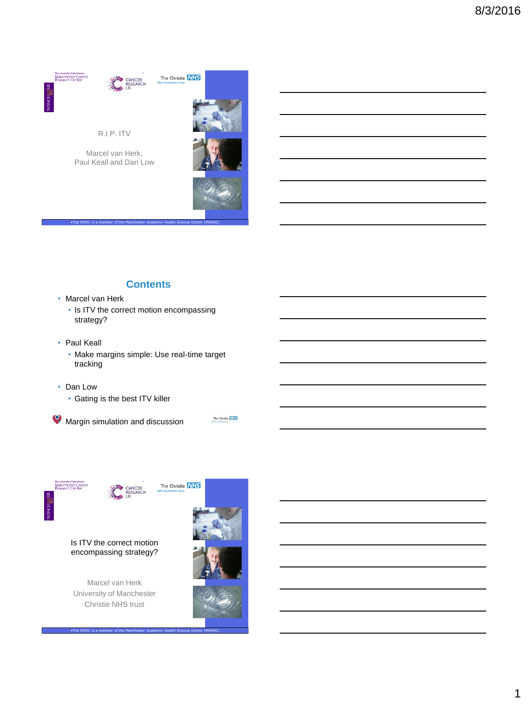



### **Contents**

•The MCRC is a member of the Manchester Academic Health Science Centre (MAHSC)

- Marcel van Herk
	- Is ITV the correct motion encompassing strategy?
- Paul Keall
	- Make margins simple: Use real-time target tracking
- Dan Low
	- Gating is the best ITV killer

**• Margin simulation and discussion** 



CANCER<br>RESEARCH

•The MCRC is a member of the Manchester Academic Health Science Centre (MAHSC)

Is ITV the correct motion encompassing strategy?

Marcel van Herk University of Manchester Christie NHS trust

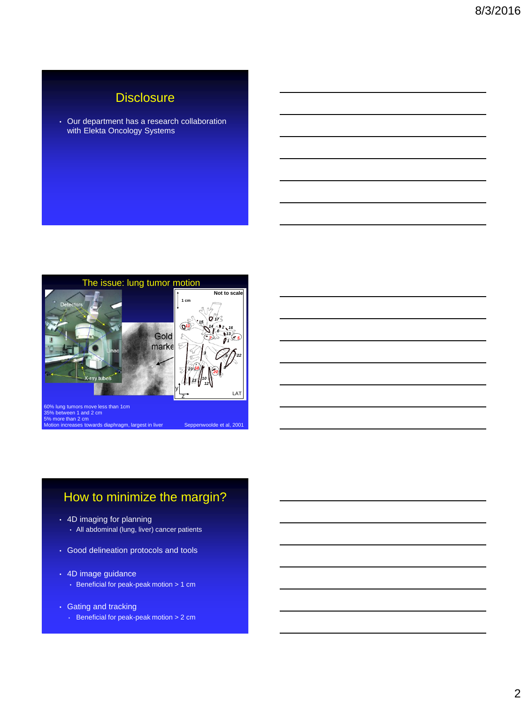## **Disclosure**

• Our department has a research collaboration with Elekta Oncology Systems



# How to minimize the margin?

- 4D imaging for planning
	- All abdominal (lung, liver) cancer patients
- Good delineation protocols and tools
- 4D image guidance
	- Beneficial for peak-peak motion > 1 cm
- Gating and tracking
	- Beneficial for peak-peak motion > 2 cm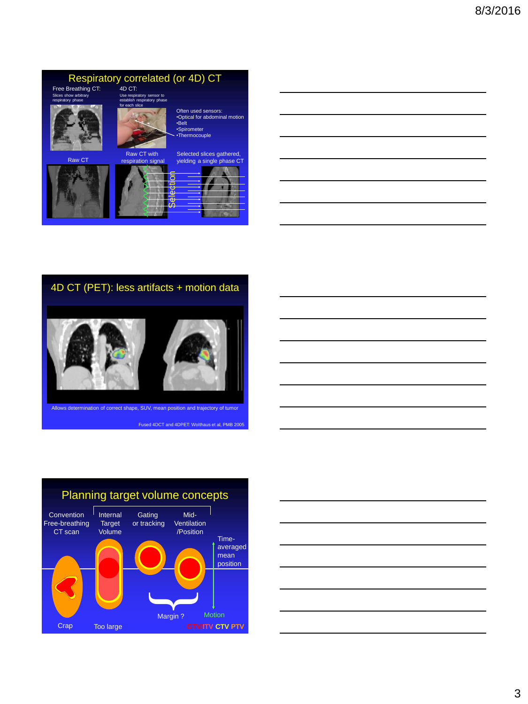### Respiratory correlated (or 4D) CT

Use respiratory sensor to establish respiratory phase for each slice

Free Breathing CT: 4D CT: Slices show arbitrary respiratory phase



Raw CT









### 4D CT (PET): less artifacts + motion data



vs determination of correct shape, SUV, mean position and trajectory of tumor

Fused 4DCT and 4DPET: Wolthaus et al, PMB 2005



| 1000 March 2010 March 2010 March 2010 March 2010 March 2010 March 2010 March 2010 March 2010 March 2010 March 20 |  |  |
|------------------------------------------------------------------------------------------------------------------|--|--|
|                                                                                                                  |  |  |
|                                                                                                                  |  |  |
|                                                                                                                  |  |  |
|                                                                                                                  |  |  |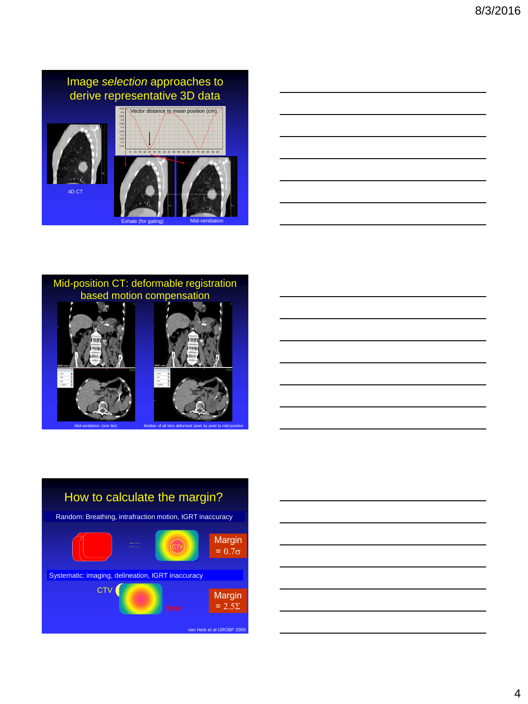











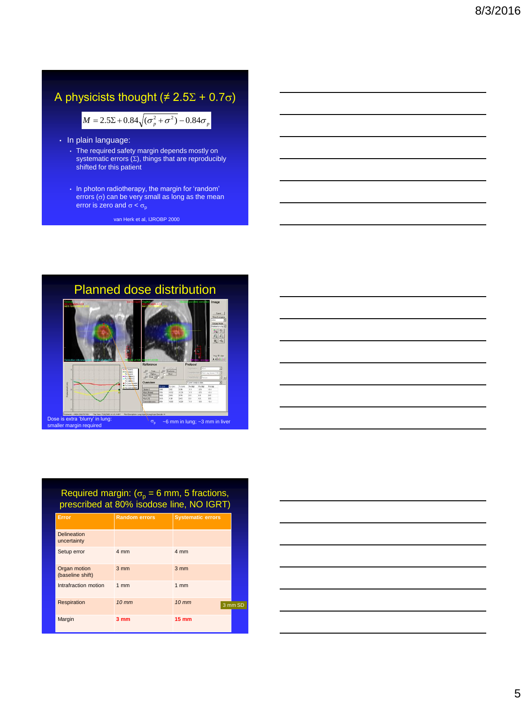# A physicists thought ( $\neq$  2.5 $\Sigma$  + 0.7 $\sigma$ )

 $M = 2.5\Sigma + 0.84\sqrt{(\sigma_p^2 + \sigma^2)} - 0.84\sigma_p$ 

- In plain language:
	- The required safety margin depends mostly on systematic errors  $(\Sigma)$ , things that are reproducibly shifted for this patient
- In photon radiotherapy, the margin for 'random' errors  $(\sigma)$  can be very small as long as the mean  $M = 2.5\Sigma + 0.84\sqrt{(\sigma_p^2 + \sigma^2)} - 0.84\sigma_p$ <br>plain language:<br>The required safety margin depends mostly on<br>systematic errors (Σ), things that are reproducibly<br>shifted for this patient<br>In photon radiotherapy, the margin for 'ra

van Herk et al, IJROBP 2000





### Required margin:  $(\sigma_{\rm p} = 6 \text{ mm}, 5 \text{ fractions},$ prescribed at 80% isodose line, NO IGRT)

| Error                             | <b>Random errors</b> | <b>Systematic errors</b>     |
|-----------------------------------|----------------------|------------------------------|
| <b>Delineation</b><br>uncertainty |                      |                              |
| Setup error                       | 4 mm                 | 4 mm                         |
| Organ motion<br>(baseline shift)  | $3 \, \text{mm}$     | $3 \, \text{mm}$             |
| Intrafraction motion              | 1mm                  | 1 <sub>mm</sub>              |
| Respiration                       | $10$ mm              | $10 \, \text{mm}$<br>3 mm SD |
| Margin                            | 3 <sub>mm</sub>      | <b>15 mm</b>                 |

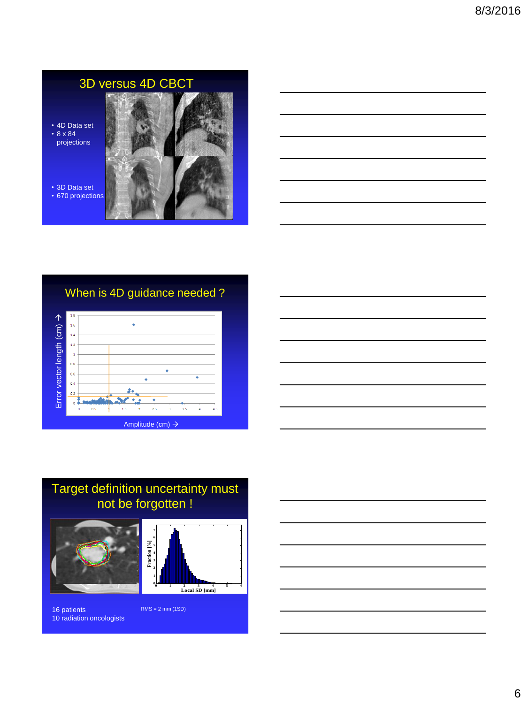# 3D versus 4D CBCT

• 4D Data set • 8 x 84 projections



• 3D Data set • 670 projections

# When is 4D guidance needed ?





# Target definition uncertainty must not be forgotten !





16 patients RMS = 2 mm (1SD) 10 radiation oncologists

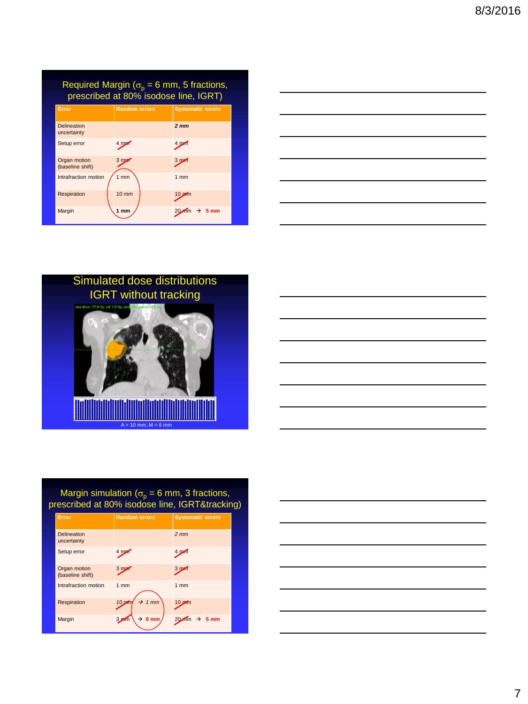| Required Margin ( $\sigma_p = 6$ mm, 5 fractions,<br>prescribed at 80% isodose line, IGRT) |                      |                          |  |
|--------------------------------------------------------------------------------------------|----------------------|--------------------------|--|
| Error                                                                                      | <b>Random errors</b> | <b>Systematic errors</b> |  |
| <b>Delineation</b><br>uncertainty                                                          |                      | 2 <sub>mm</sub>          |  |
| Setup error                                                                                | 4 mg                 | 4 pm                     |  |
| Organ motion<br>(baseline shift)                                                           | 3 <sub>m</sub>       | 3 <sub>pm1</sub>         |  |
| Intrafraction motion                                                                       | 1 <sub>mm</sub>      | 1 <sub>mm</sub>          |  |
| Respiration                                                                                | $10 \, \text{mm}$    | $10 \text{ pdm}$         |  |
| Margin                                                                                     | 1 <sub>mm</sub>      | $\rightarrow$ 5 mm       |  |

|                                                                                                                       |  | <u> 1989 - Johann Barn, mars ann an t-Amhain ann an t-Amhain ann an t-Amhain ann an t-Amhain an t-Amhain ann an t-</u> |
|-----------------------------------------------------------------------------------------------------------------------|--|------------------------------------------------------------------------------------------------------------------------|
|                                                                                                                       |  | <u> 1989 - Johann Barn, amerikan bernama di sebagai bernama dan bernama di sebagai bernama di sebagai bernama di</u>   |
|                                                                                                                       |  | <u> 1989 - Johann Barn, mars ann an t-Amhain ann an t-Amhain ann an t-Amhain ann an t-Amhain an t-Amhain ann an t-</u> |
|                                                                                                                       |  | <u> 1989 - Johann Barn, mars ann an t-Amhain ann an t-Amhain ann an t-Amhain ann an t-Amhain an t-Amhain ann an t-</u> |
| <u> 1989 - Johann Stoff, deutscher Stoffen und der Stoffen und der Stoffen und der Stoffen und der Stoffen und de</u> |  |                                                                                                                        |







### Margin simulation ( $\sigma_{\rm p}$  = 6 mm, 3 fractions, prescribed at 80% isodose line, IGRT&tracking)

| Error                             | <b>Random errors</b>                    | <b>Systematic errors</b>      |
|-----------------------------------|-----------------------------------------|-------------------------------|
| <b>Delineation</b><br>uncertainty |                                         | $2 \, \text{mm}$              |
| Setup error                       | 4 mg                                    | 4 mm                          |
| Organ motion<br>(baseline shift)  | 3 <sub>m</sub>                          | 3 <sub>m</sub>                |
| Intrafraction motion              | 1 <sub>mm</sub>                         | 1 <sub>mm</sub>               |
| Respiration                       | $\rightarrow$ 1 mm<br>$10$ m            | $10 \text{ m}$                |
| Margin                            | $\rightarrow$ 0 mm<br>3.2 <sub>mm</sub> | $\rightarrow$ 5 mm<br>$20$ mm |

| <u> 1989 - Johann Stein, Amerikaansk politiker (</u>                                                                   |  |
|------------------------------------------------------------------------------------------------------------------------|--|
|                                                                                                                        |  |
| the control of the control of the control of the control of                                                            |  |
|                                                                                                                        |  |
| the control of the control of the control of the control of                                                            |  |
|                                                                                                                        |  |
| <u> 1989 - Johann Stoff, deutscher Stoffen und der Stoffen und der Stoffen und der Stoffen und der Stoffen und der</u> |  |
|                                                                                                                        |  |
| <u> 1989 - Johann Stoff, deutscher Stoffen und der Stoffen und der Stoffen und der Stoffen und der Stoffen und de</u>  |  |
|                                                                                                                        |  |
|                                                                                                                        |  |
|                                                                                                                        |  |
| the control of the control of the control of the                                                                       |  |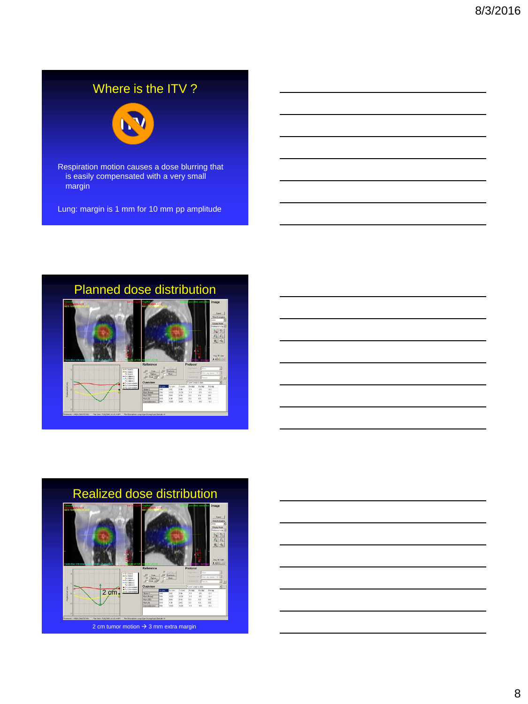# Where is the ITV?



Respiration motion causes a dose blurring that is easily compensated with a very small margin

Lung: margin is 1 mm for 10 mm pp amplitude



 $\overline{\Omega}$ 

 $\begin{array}{r} \hline R_2\left( \mathfrak{a}\right) \\ 0.4 \\ 0.4 \\ 0.0 \\ 0.0 \\ 0.0 \\ 0.4 \end{array}$  $\begin{array}{c} 0.0 \\ 0.0 \\ 0.0 \\ 0.0 \\ \end{array}$ 



8